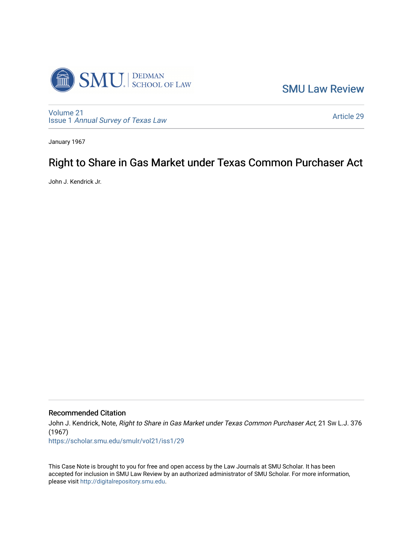

[SMU Law Review](https://scholar.smu.edu/smulr) 

[Volume 21](https://scholar.smu.edu/smulr/vol21) Issue 1 [Annual Survey of Texas Law](https://scholar.smu.edu/smulr/vol21/iss1) 

[Article 29](https://scholar.smu.edu/smulr/vol21/iss1/29) 

January 1967

# Right to Share in Gas Market under Texas Common Purchaser Act

John J. Kendrick Jr.

Recommended Citation

John J. Kendrick, Note, Right to Share in Gas Market under Texas Common Purchaser Act, 21 Sw L.J. 376 (1967)

[https://scholar.smu.edu/smulr/vol21/iss1/29](https://scholar.smu.edu/smulr/vol21/iss1/29?utm_source=scholar.smu.edu%2Fsmulr%2Fvol21%2Fiss1%2F29&utm_medium=PDF&utm_campaign=PDFCoverPages)

This Case Note is brought to you for free and open access by the Law Journals at SMU Scholar. It has been accepted for inclusion in SMU Law Review by an authorized administrator of SMU Scholar. For more information, please visit [http://digitalrepository.smu.edu.](http://digitalrepository.smu.edu/)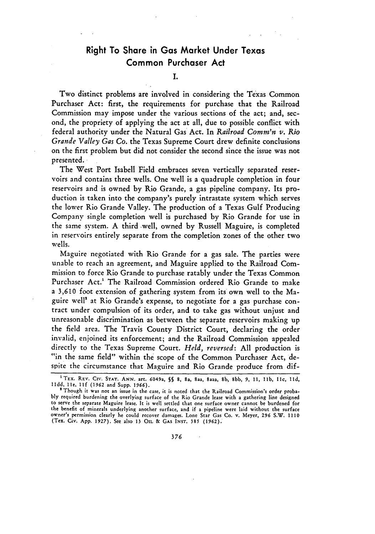# Right To Share in Gas Market Under Texas Common Purchaser Act

**I.**

Two distinct problems are involved in considering the Texas Common Purchaser Act: first, the requirements for purchase that the Railroad Commission may impose under the various sections of the act; and, second, the propriety of applying the act at all, due to possible conflict with federal authority under the Natural Gas Act. In *Railroad Comm'n v. Rio Grande Valley Gas Co.* the Texas Supreme Court drew definite conclusions on the first problem but did not consider the second since the issue was not presented.

The West Port Isabell Field embraces seven vertically separated reservoirs and contains three wells. One well is a quadruple completion in four reservoirs and is owned by Rio Grande, a gas pipeline company. Its production is taken into the company's purely intrastate system which serves the lower Rio Grande Valley. The production of a Texas Gulf Producing Company single completion well is purchased by Rio Grande for use in the same system. A third well, owned by Russell Maguire, is completed in reservoirs entirely separate from the completion zones of the other two wells.

Maguire negotiated with Rio Grande for a gas sale. The parties were unable to reach an agreement, and Maguire applied to the Railroad Commission to force Rio Grande to purchase ratably under the Texas Common Purchaser Act.' The Railroad Commission ordered Rio Grande to make a **3,610** foot extension of gathering system from its own well to the Maguire well" at Rio Grande's expense, to negotiate for a gas purchase contract under compulsion of its order, and to take gas without unjust and unreasonable discrimination as between the separate reservoirs making up the field area. The Travis County District Court, declaring the order invalid, enjoined its enforcement; and the Railroad Commission appealed directly to the Texas Supreme Court. *Held, reversed:* All production is "in the same field" within the scope of the Common Purchaser Act, despite the circumstance that Maguire and Rio Grande produce from dif-

<sup>1</sup>TEx. REV. CIV. **STAT. ANN.** art. **6049a, §§ 8, 8a,** 8aa, 8a22, **8b, 8bb, 9,** i, lib, lic, **lid, lldd, Ile, llf** (1962 and Supp. **1966).**

<sup>&</sup>lt;sup>2</sup> Though it was not an issue in the case, it is noted that the Railroad Commission's order proba**bly** required burdening the overlying surface of the Rio Grande lease with a gathering line designed to serve the separate Maguire lease. It is well settled that one surface owner cannot be burdened for the benefit of minerals underlying another surface, and if a pipeline were laid without the surface owner's permission clearly he could recover damages. Lone Star Gas Co. v, Meyer, **296** S.W. 1110 (Tex. Civ. App. 1927). See also **13** OIL & GAS **INST. 385 (1962).**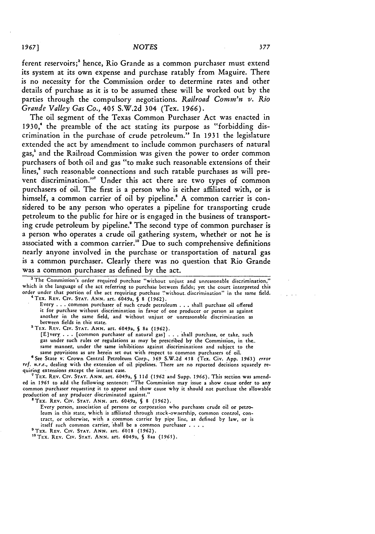ferent reservoirs;' hence, Rio Grande as a common purchaser must extend its system at its own expense and purchase ratably from Maguire. There is no necessity for the Commission order to determine rates and other details of purchase as it is to be assumed these will be worked out by the parties through the compulsory negotiations. *Railroad Comm'n v. Rio Grande Valley Gas Co.,* 405 S.W.2d 304 (Tex. 1966).

The oil segment of the Texas Common Purchaser Act was enacted in 1930,' the preamble of the act stating its purpose as "forbidding discrimination in the purchase of crude petroleum." In 1931 the legislature extended the act by amendment to include common purchasers of natural gas,' and the Railroad Commission was given the power to order common purchasers of both oil and gas "to make such reasonable extensions of their lines,<sup>6</sup> such reasonable connections and such ratable purchases as will prevent discrimination."' Under this act there are two types of common purchasers of oil. The first is a person who is either affiliated with, or is himself, a common carrier of oil by pipeline.<sup>8</sup> A common carrier is considered to be any person who operates a pipeline for transporting crude petroleum to the public for hire or is engaged in the business of transporting crude petroleum by pipeline." The second type of common purchaser is a person who operates a crude oil gathering system, whether or not he is associated with a common carrier." Due to such comprehensive definitions nearly anyone involved in the purchase or transportation of natural gas is a common purchaser. Clearly there was no question that Rio Grande was a common purchaser as defined by the act.

<sup>3</sup> The Commission's order required purchase "without unjust and unreasonable discrimination," which is the language of the act referring to purchase between fields; yet the court interpreted this order under that portion of the act requiring purchase "without. discrimination" in the same field.<br><sup>4</sup> TEX. REV. CIV. STAT. ANN. art. 6049a, § 8 (1962).

Every . . . common purchaser of such crude petroleum . . . shall purchase oil offered it for purchase without discrimination in favor of one producer or person as against another in the same field, and without unjust or unreasonable discrimination as between fields in this state.

'TEX. REV. CIv. **STAT. ANN.** art. 6049a, *5* 8a (1962). [Elvery . **.** . [common purchaser of natural gas] . . . shall purchase, or take, such gas under such rules or regulations as may be prescribed by the Commission, in *the,.* same manner, under the same inhibitions against discriminations and subject to the same provisions as are herein set out with respect to common purchasers of oil.

6See State v. Crown Central Petroleum Corp., **369** S.W.2d 458 (Tex. Civ. App. 1963) *error ref. n.r.e.,* dealing with the extension of oil pipelines. There are no reported decisions squarely re-

<sup>7</sup> TEX. REV. CIV. STAT. ANN. art. 6049a, § 11d (1962 and Supp. 1966). This section was amended in 1965 to add the following sentence: "The Commission may issue a show cause order to any common purchaser requesting **it** to appear and show cause why it should not purchase the allowable production of any producer discriminated against."

'TEX. REV. **CIv. STAT. ANN.** art. 6049a, **§ 8 (1962).**

Every person, association of persons or corporation who purchases crude oil or petroleum in this state, which is affiliated through stock-ownership, common control, contract, or otherwise, with a common carrier by pipe line, as defined by law, or is itself such common carrier, 'shall be a common purchaser . **...**

'TEx. **REV.** Civ. **STAT. ANN.** art. 6018 **(1962).**

'°TEx. REV. **CIV. STAT. ANN.** art. 6049a, **§** 8aa **(1965).**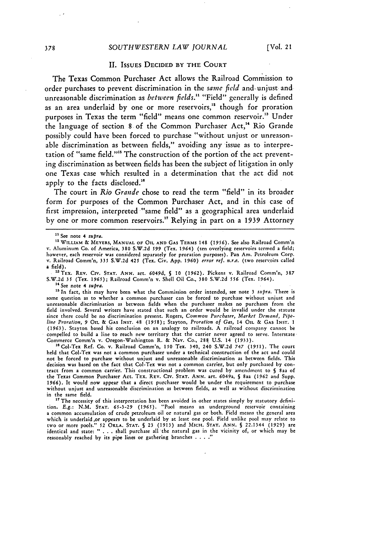#### SOUTHWESTERN LAW *JOURNAL* [Vol. 21]

#### II. ISSUES **DECIDED** BY THE **COURT**

The Texas Common Purchaser Act allows the Railroad Commission to order purchases to prevent discrimination in the same *field* and- unjust and unreasonable discrimination as *between fields."1* "Field" generally is defined as an area underlaid by one or more reservoirs,<sup>12</sup> though for proration purposes in Texas the term "field" means one common reservoir." Under the language of section 8 of the Common Purchaser Act," Rio Grande possibly could have been forced to purchase "without unjust or unreasonable discrimination as between fields," avoiding any issue as to interpretation of "same field."" The construction of the portion of the act preventing discrimination as between fields has been the subject of litigation in only one Texas case which resulted in a determination that the act did not apply to the facts disclosed.<sup>16</sup>

The court in *Rio Grande* chose to read the term "field" in its broader form for purposes of the Common Purchaser Act, and in this case of first impression, interpreted "same field" as a geographical area underlaid by one or more common reservoirs." Relying in part on a 1939 Attorney

**14** See note 4 *supra.*

**'5** In fact, this may have been what the Commission order intended, see note **3** supra. There is some question as to whether a common purchaser can be forced to purchase without unjust and unreasonable discrimination as between fields when the purchaser makes no purchases from the field involved. Several writers have stated that such an order would be invalid under the statute since there could be no discrimination present. Rogers, Common Purchaser, Market Demand, Pipe*line Proration,* 9 OIL & GAS **INST.** 48 (1958); Stayton, *Proration of Gas,* 14 OIL **& GAS INST. 1** (1963). Stayton based his conclusion on an analogy to railroads. A railroad company cannot **be** compelled to build a line to reach new territory that the carrier never agreed to serve. Interstate Commerce Comm'n v. Oregon-Washington R. **&** Nay. Co., 288 **U.S.** 14 **(1933).**

<sup>16</sup> Col-Tex Ref. Co. v. Railroad Comm'n, 150 Tex. 340, 240 S.W.2d 747 (1951). The court held that Col-Tex was not a common purchaser under a technical construction of the act and could not be forced to purchase without unjust and unreasonable discrimination as between fields. This decision was based on the fact that Col-Tex was not a common carrier, but only purchased by contract from a common carrier. This constructional problem was cured by amendment to **S** saa of the Texas Common Purchaser Act. TEX. REV. CirV. **STAT. ANN.** art. 6049a, **§** 8aa (1962 and Supp. 1966). It would now appear that **a** direct purchaser would be under the requirement to purchase without unjust and unreasonable discrimination as between fields, as well as without discrimination in the same field.

<sup>17</sup> The necessity of this interpretation has been avoided in other states simply by statutory definition. *E.g.:* N.M. **STAT.** 65-3-29 (1965). "Pool means an underground reservoir containing a common accumulation of crude petroleum oil or natural gas or both. Field means the general area which is underlaid.,or appears to be underlaid by at least one pool. Field unlike pool may relate to two or more pools." 52 **OKLA. STAT. §** 23 (1913) and MICH. **STAT.** ANN. **§** 22.1344 (1929) are identical and state: **- .** . **.** shall purchase all the natural gas in the vicinity of, or which may be reasonably reached by its pipe lines or gathering branches **.... "**

<sup>1</sup> See note 4 *supra.*

<sup>&</sup>lt;sup>12</sup> WILLIAM & MEYERS, MANUAL OF OIL AND GAS TERMS 148 (1956). See also Railroad Comm'n v. Aluminum **Co.** of America, **380** S.W.2d **599** (Tex. 1964) (ten overlying reservoirs termed a field; however, each reservoir was considered separately for proration purposes). Pan Am. Petroleum Corp. v. Railroad Comm'n, **335** S.W.2d 425 (Tex. Civ. App. **1960)** *error ref. n.r.e.* (two reservoirs called a field).

<sup>&</sup>quot;TEX. a REV. Cirv. **STAT.** ANN. art. **6049d,** *§* **10** (1962). Pickens v. Railroad Comm'n, **387** S.W.2d 35 (Tex. **1965);** Railroad Comm'n v. Shell Oil Co., **380** S.W.2d 556 (Tex. 1964).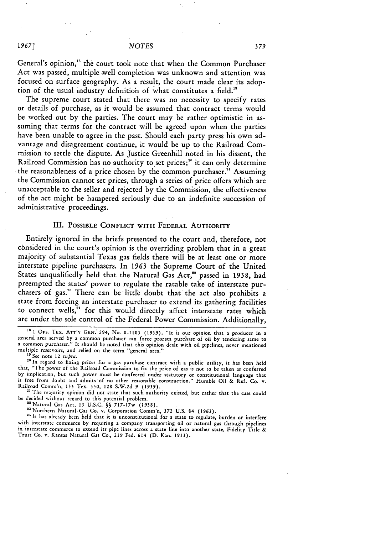General's opinion,<sup>18</sup> the court took note that when the Common Purchaser Act was passed, multiple well completion was unknown and attention was focused on surface geography. As a result, the court made clear its adoption of the usual industry definition of what constitutes a field."

The supreme court stated that there was no necessity to specify rates or details of purchase, as **it** would be assumed that contract terms would be worked out **by** the parties. The court may be rather optimistic in assuming that terms for the contract will **be** agreed upon when the parties have been unable to agree in the past. Should each party press his own advantage and disagreement continue, it would be up to the Railroad Commission to settle the dispute. As Justice Greenhill noted in his dissent, the Railroad Commission has no authority to set prices;<sup>20</sup> it can only determine the reasonableness of a price chosen by the common purchaser.<sup>21</sup> Assuming the Commission cannot set prices, through a series of price offers which are unacceptable to the seller and rejected **by** the Commission, the effectiveness of the act might be hampered seriously due to an indefinite succession **of** administrative proceedings.

## III. **POSSIBLE CONFLICT WITH FEDERAL AUTHORITY**

Entirely ignored in the briefs presented to the court and, therefore, not considered in the court's opinion is the overriding problem that in a great majority of substantial Texas gas fields there will be at least one or more interstate pipeline purchasers. In **1963** the Supreme Court of the United States unqualifiedly held that the Natural Gas Act,<sup>22</sup> passed in 1938, had preempted the states' power to regulate the ratable take of interstate purchasers of gas."3 There can be little doubt that the act also prohibits a state from forcing an interstate purchaser to extend its gathering facilities to connect wells, $a^2$  for this would directly affect interstate rates which are under the sole control of the Federal Power Commission. Additionally,

1967]

<sup>&</sup>lt;sup>18</sup> 1 Ops. TEX. ATT'Y GEN. 294, No. 0-1103 (1939). "It is our opinion that a producer in a general area served by a common purchaser can force prorata purchase of oil by tendering same to a common purchaser." It should be multiple reservoirs, and relied on the term "general area."

See note 12 *supra*.

**<sup>&</sup>quot;0** In regard to fixing prices for a **gas** purchase contract with **a** public utility, it has been **held** that, "The 'power of the Railroad Commission to **fix** the price of gas is not to be taken as conferred **by** implication, but such power must be conferred under statutory or constitutional language that is free **from** doubt and admits of no other reasonable construction." Humble Oil **&** Ref. **Co.** v. Railroad Comm'n, **133** Tex. **330,** 128 **S.W.2d 9 (1939).** Railroad Comm'n, 133 Tex. 330, 128 S.W.2d 9 (1939).<br><sup>21</sup> The majority opinion did not state that such authority existed, but rather that the case could

**be** decided without regard to this potential problem. "Natural Gas Act, **15 U.S.C. §§** 717-17w **(1938).**

**<sup>&</sup>quot;** Northern Natural.Gas Co. v. Corporation Comm'n, **372 U.S.** 84 **(1963).**

<sup>&</sup>lt;sup>24</sup> It has already been held that it is unconstitutional for a state to regulate, burden or interfere with interstate commerce **by** requiring a company transporting oil or natural gas through pipelines in interstate commerce to extend its pipe lines across a state line into another state, Fidelity Title **&** Trust Co. v. Kansas Natural Gas Co., **219** Fed. 614 **(D.** Kan. **1913).**